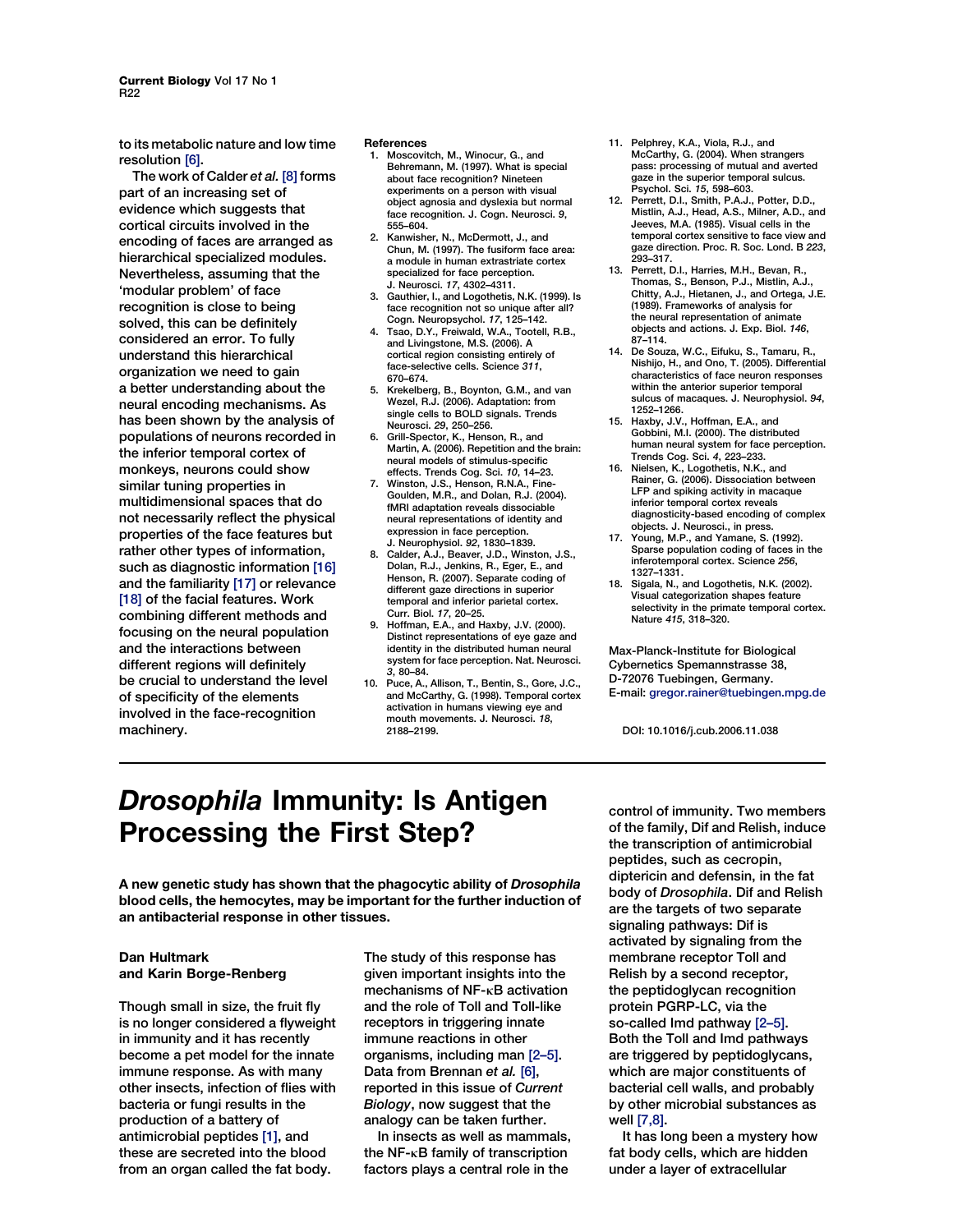to its metabolic nature and low time resolution [6].

The work of Calder et al. [8] forms part of an increasing set of evidence which suggests that cortical circuits involved in the encoding of faces are arranged as hierarchical specialized modules. Nevertheless, assuming that the 'modular problem' of face recognition is close to being solved, this can be definitely considered an error. To fully understand this hierarchical organization we need to gain a better understanding about the neural encoding mechanisms. As has been shown by the analysis of populations of neurons recorded in the inferior temporal cortex of monkeys, neurons could show similar tuning properties in multidimensional spaces that do not necessarily reflect the physical properties of the face features but rather other types of information, such as diagnostic information [16] and the familiarity [17] or relevance [18] of the facial features. Work combining different methods and focusing on the neural population and the interactions between different regions will definitely be crucial to understand the level of specificity of the elements involved in the face-recognition machinery.

#### **References**

- 1. Moscovitch, M., Winocur, G., and Behremann, M. (1997). What is special about face recognition? Nineteen experiments on a person with visual object agnosia and dyslexia but normal face recognition. J. Cogn. Neurosci. 9, 555–604.
- 2. Kanwisher, N., McDermott, J., and Chun, M. (1997). The fusiform face area: a module in human extrastriate cortex specialized for face perception. J. Neurosci. 17, 4302–4311.
- 3. Gauthier, I., and Logothetis, N.K. (1999). Is face recognition not so unique after all? Cogn. Neuropsychol. 17, 125–142.
- 4. Tsao, D.Y., Freiwald, W.A., Tootell, R.B., and Livingstone, M.S. (2006). A cortical region consisting entirely of face-selective cells. Science 311. 670–674.
- 5. Krekelberg, B., Boynton, G.M., and van Wezel, R.J. (2006). Adaptation: from single cells to BOLD signals. Trends Neurosci. 29, 250–256.
- 6. Grill-Spector, K., Henson, R., and Martin, A. (2006). Repetition and the brain: neural models of stimulus-specific effects. Trends Cog. Sci. 10, 14–23.
- 7. Winston, J.S., Henson, R.N.A., Fine-Goulden, M.R., and Dolan, R.J. (2004). fMRI adaptation reveals dissociable neural representations of identity and expression in face perception. J. Neurophysiol. 92, 1830–1839.
- Calder, A.J., Beaver, J.D., Winston, J.S., Dolan, R.J., Jenkins, R., Eger, E., and Henson, R. (2007). Separate coding of different gaze directions in superior temporal and inferior parietal cortex. Curr. Biol. 17, 20–25.
- 9. Hoffman, E.A., and Haxby, J.V. (2000). Distinct representations of eye gaze and identity in the distributed human neural system for face perception. Nat. Neurosci. 3, 80–84.
- 10. Puce, A., Allison, T., Bentin, S., Gore, J.C., and McCarthy, G. (1998). Temporal cortex activation in humans viewing eye and mouth movements. J. Neurosci. 18, 2188–2199.
- 11. Pelphrey, K.A., Viola, R.J., and McCarthy, G. (2004). When strangers pass: processing of mutual and averted gaze in the superior temporal sulcus. Psychol. Sci. 15, 598–603.
- 12. Perrett, D.I., Smith, P.A.J., Potter, D.D., Mistlin, A.J., Head, A.S., Milner, A.D., and Jeeves, M.A. (1985). Visual cells in the temporal cortex sensitive to face view and gaze direction. Proc. R. Soc. Lond. B 223, 293–317.
- 13. Perrett, D.I., Harries, M.H., Bevan, R., Thomas, S., Benson, P.J., Mistlin, A.J., Chitty, A.J., Hietanen, J., and Ortega, J.E. (1989). Frameworks of analysis for the neural representation of animate objects and actions. J. Exp. Biol. 146, 87–114.
- 14. De Souza, W.C., Eifuku, S., Tamaru, R., Nishijo, H., and Ono, T. (2005). Differential characteristics of face neuron responses within the anterior superior temporal sulcus of macaques. J. Neurophysiol. 94, 1252–1266.
- 15. Haxby, J.V., Hoffman, E.A., and Gobbini, M.I. (2000). The distributed human neural system for face perception. Trends Cog. Sci. 4, 223–233.
- 16. Nielsen, K., Logothetis, N.K., and Rainer, G. (2006). Dissociation between LFP and spiking activity in macaque inferior temporal cortex reveals diagnosticity-based encoding of complex objects. J. Neurosci., in press.
- 17. Young, M.P., and Yamane, S. (1992). Sparse population coding of faces in the inferotemporal cortex. Science 256, 1327–1331.
- 18. Sigala, N., and Logothetis, N.K. (2002). Visual categorization shapes feature selectivity in the primate temporal cortex. Nature 415, 318–320.

Max-Planck-Institute for Biological Cybernetics Spemannstrasse 38, D-72076 Tuebingen, Germany. E-mail: gregor.rainer@tuebingen.mpg.de

DOI: 10.1016/j.cub.2006.11.038

## Drosophila Immunity: Is Antigen Processing the First Step?

A new genetic study has shown that the phagocytic ability of Drosophila blood cells, the hemocytes, may be important for the further induction of an antibacterial response in other tissues.

## Dan Hultmark and Karin Borge-Renberg

Though small in size, the fruit fly is no longer considered a flyweight in immunity and it has recently become a pet model for the innate immune response. As with many other insects, infection of flies with bacteria or fungi results in the production of a battery of antimicrobial peptides [1], and these are secreted into the blood from an organ called the fat body.

The study of this response has given important insights into the mechanisms of NF-<sub>K</sub>B activation and the role of Toll and Toll-like receptors in triggering innate immune reactions in other organisms, including man [2–5]. Data from Brennan et al. [6], reported in this issue of Current Biology, now suggest that the analogy can be taken further.

In insects as well as mammals, the  $NF$ - $\kappa$ B family of transcription factors plays a central role in the

control of immunity. Two members of the family, Dif and Relish, induce the transcription of antimicrobial peptides, such as cecropin, diptericin and defensin, in the fat body of Drosophila. Dif and Relish are the targets of two separate signaling pathways: Dif is activated by signaling from the membrane receptor Toll and Relish by a second receptor, the peptidoglycan recognition protein PGRP-LC, via the so-called Imd pathway [2–5]. Both the Toll and Imd pathways are triggered by peptidoglycans, which are major constituents of bacterial cell walls, and probably by other microbial substances as well [7,8].

It has long been a mystery how fat body cells, which are hidden under a layer of extracellular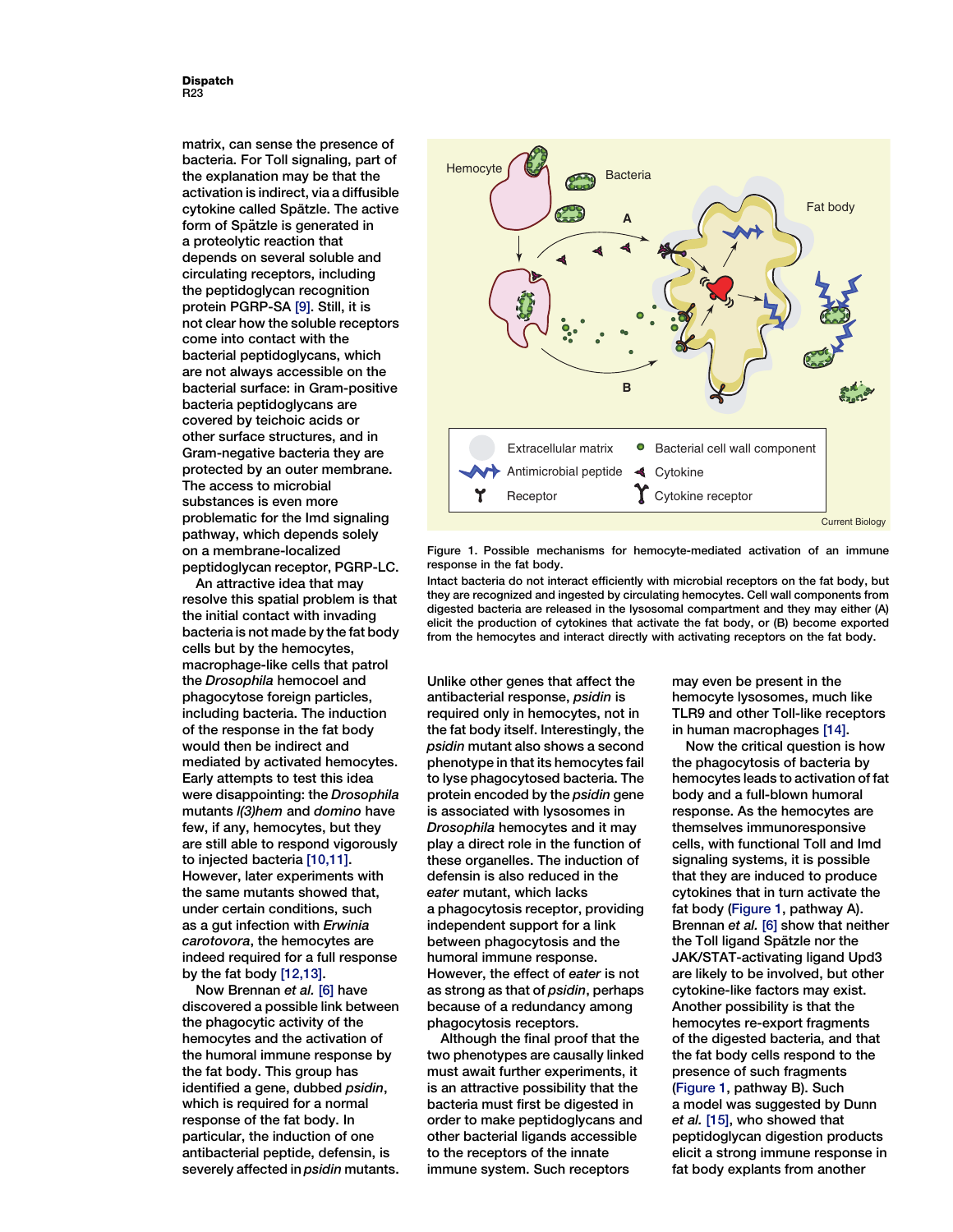Dispatch R23

matrix, can sense the presence of bacteria. For Toll signaling, part of the explanation may be that the activation is indirect, via a diffusible cytokine called Spätzle. The active form of Spätzle is generated in a proteolytic reaction that depends on several soluble and circulating receptors, including the peptidoglycan recognition protein PGRP-SA [9]. Still, it is not clear how the soluble receptors come into contact with the bacterial peptidoglycans, which are not always accessible on the bacterial surface: in Gram-positive bacteria peptidoglycans are covered by teichoic acids or other surface structures, and in Gram-negative bacteria they are protected by an outer membrane. The access to microbial substances is even more problematic for the Imd signaling pathway, which depends solely on a membrane-localized peptidoglycan receptor, PGRP-LC.

An attractive idea that may resolve this spatial problem is that the initial contact with invading bacteria is not made by the fat body cells but by the hemocytes, macrophage-like cells that patrol the Drosophila hemocoel and phagocytose foreign particles, including bacteria. The induction of the response in the fat body would then be indirect and mediated by activated hemocytes. Early attempts to test this idea were disappointing: the Drosophila mutants l(3)hem and domino have few, if any, hemocytes, but they are still able to respond vigorously to injected bacteria [10,11]. However, later experiments with the same mutants showed that, under certain conditions, such as a gut infection with Erwinia carotovora, the hemocytes are indeed required for a full response by the fat body [12,13].

Now Brennan et al. [6] have discovered a possible link between the phagocytic activity of the hemocytes and the activation of the humoral immune response by the fat body. This group has identified a gene, dubbed psidin, which is required for a normal response of the fat body. In particular, the induction of one antibacterial peptide, defensin, is severely affected in psidin mutants.



Figure 1. Possible mechanisms for hemocyte-mediated activation of an immune response in the fat body.

Intact bacteria do not interact efficiently with microbial receptors on the fat body, but they are recognized and ingested by circulating hemocytes. Cell wall components from digested bacteria are released in the lysosomal compartment and they may either (A) elicit the production of cytokines that activate the fat body, or (B) become exported from the hemocytes and interact directly with activating receptors on the fat body.

Unlike other genes that affect the antibacterial response, psidin is required only in hemocytes, not in the fat body itself. Interestingly, the psidin mutant also shows a second phenotype in that its hemocytes fail to lyse phagocytosed bacteria. The protein encoded by the psidin gene is associated with lysosomes in Drosophila hemocytes and it may play a direct role in the function of these organelles. The induction of defensin is also reduced in the eater mutant, which lacks a phagocytosis receptor, providing independent support for a link between phagocytosis and the humoral immune response. However, the effect of eater is not as strong as that of psidin, perhaps because of a redundancy among phagocytosis receptors.

Although the final proof that the two phenotypes are causally linked must await further experiments, it is an attractive possibility that the bacteria must first be digested in order to make peptidoglycans and other bacterial ligands accessible to the receptors of the innate immune system. Such receptors

may even be present in the hemocyte lysosomes, much like TLR9 and other Toll-like receptors in human macrophages [14].

Now the critical question is how the phagocytosis of bacteria by hemocytes leads to activation of fat body and a full-blown humoral response. As the hemocytes are themselves immunoresponsive cells, with functional Toll and Imd signaling systems, it is possible that they are induced to produce cytokines that in turn activate the fat body (Figure 1, pathway A). Brennan et al. [6] show that neither the Toll ligand Spätzle nor the JAK/STAT-activating ligand Upd3 are likely to be involved, but other cytokine-like factors may exist. Another possibility is that the hemocytes re-export fragments of the digested bacteria, and that the fat body cells respond to the presence of such fragments (Figure 1, pathway B). Such a model was suggested by Dunn et al. [15], who showed that peptidoglycan digestion products elicit a strong immune response in fat body explants from another